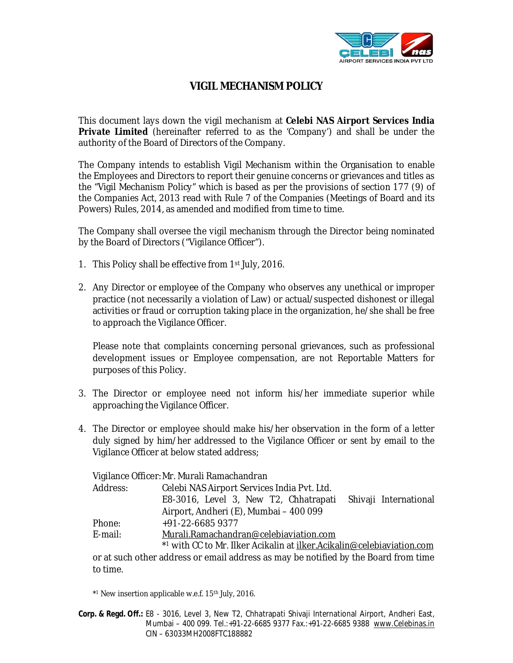

## **VIGIL MECHANISM POLICY**

This document lays down the vigil mechanism at **Celebi NAS Airport Services India Private Limited** (hereinafter referred to as the 'Company') and shall be under the authority of the Board of Directors of the Company.

The Company intends to establish Vigil Mechanism within the Organisation to enable the Employees and Directors to report their genuine concerns or grievances and titles as the "Vigil Mechanism Policy" which is based as per the provisions of section 177 (9) of the Companies Act, 2013 read with Rule 7 of the Companies (Meetings of Board and its Powers) Rules, 2014, as amended and modified from time to time.

The Company shall oversee the vigil mechanism through the Director being nominated by the Board of Directors ("Vigilance Officer").

- 1. This Policy shall be effective from 1st July, 2016.
- 2. Any Director or employee of the Company who observes any unethical or improper practice (not necessarily a violation of Law) or actual/suspected dishonest or illegal activities or fraud or corruption taking place in the organization, he/she shall be free to approach the Vigilance Officer.

Please note that complaints concerning personal grievances, such as professional development issues or Employee compensation, are not Reportable Matters for purposes of this Policy.

- 3. The Director or employee need not inform his/her immediate superior while approaching the Vigilance Officer.
- 4. The Director or employee should make his/her observation in the form of a letter duly signed by him/her addressed to the Vigilance Officer or sent by email to the Vigilance Officer at below stated address;

| Vigilance Officer: Mr. Murali Ramachandran                                                |                                                                |  |  |  |
|-------------------------------------------------------------------------------------------|----------------------------------------------------------------|--|--|--|
| Address:                                                                                  | Celebi NAS Airport Services India Pvt. Ltd.                    |  |  |  |
|                                                                                           | E8-3016, Level 3, New T2, Chhatrapati<br>Shivaji International |  |  |  |
|                                                                                           | Airport, Andheri (E), Mumbai - 400 099                         |  |  |  |
| Phone:                                                                                    | +91-22-6685 9377                                               |  |  |  |
| E-mail:                                                                                   | Murali.Ramachandran@celebiaviation.com                         |  |  |  |
| *1 with CC to Mr. Ilker Acikalin at <i>ilker.Acikalin@celebiaviation.com</i>              |                                                                |  |  |  |
| ar at quality and decay are an angle and reason as may be notified by the Deard from time |                                                                |  |  |  |

or at such other address or email address as may be notified by the Board from time to time.

\* <sup>1</sup> New insertion applicable w.e.f. 15th July, 2016.

**Corp. & Regd. Off.:** E8 - 3016, Level 3, New T2, Chhatrapati Shivaji International Airport, Andheri East, Mumbai – 400 099. Tel.:+91-22-6685 9377 Fax.:+91-22-6685 9388 www.Celebinas.in CIN – 63033MH2008FTC188882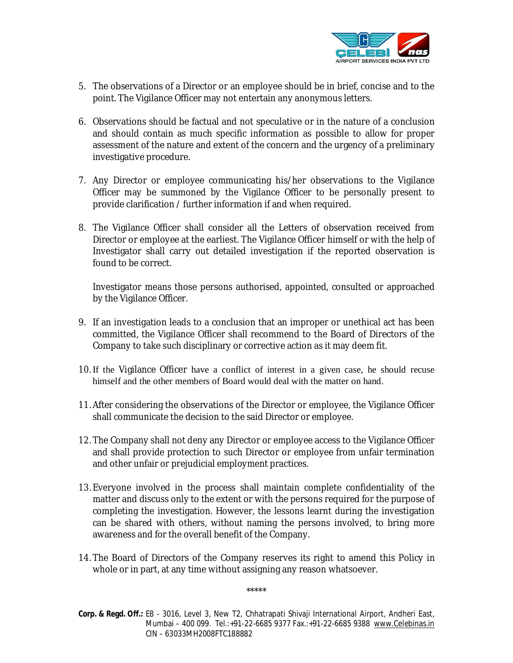

- 5. The observations of a Director or an employee should be in brief, concise and to the point. The Vigilance Officer may not entertain any anonymous letters.
- 6. Observations should be factual and not speculative or in the nature of a conclusion and should contain as much specific information as possible to allow for proper assessment of the nature and extent of the concern and the urgency of a preliminary investigative procedure.
- 7. Any Director or employee communicating his/her observations to the Vigilance Officer may be summoned by the Vigilance Officer to be personally present to provide clarification / further information if and when required.
- 8. The Vigilance Officer shall consider all the Letters of observation received from Director or employee at the earliest. The Vigilance Officer himself or with the help of Investigator shall carry out detailed investigation if the reported observation is found to be correct.

Investigator means those persons authorised, appointed, consulted or approached by the Vigilance Officer.

- 9. If an investigation leads to a conclusion that an improper or unethical act has been committed, the Vigilance Officer shall recommend to the Board of Directors of the Company to take such disciplinary or corrective action as it may deem fit.
- 10. If the Vigilance Officer have a conflict of interest in a given case, he should recuse himself and the other members of Board would deal with the matter on hand.
- 11. After considering the observations of the Director or employee, the Vigilance Officer shall communicate the decision to the said Director or employee.
- 12. The Company shall not deny any Director or employee access to the Vigilance Officer and shall provide protection to such Director or employee from unfair termination and other unfair or prejudicial employment practices.
- 13. Everyone involved in the process shall maintain complete confidentiality of the matter and discuss only to the extent or with the persons required for the purpose of completing the investigation. However, the lessons learnt during the investigation can be shared with others, without naming the persons involved, to bring more awareness and for the overall benefit of the Company.
- 14. The Board of Directors of the Company reserves its right to amend this Policy in whole or in part, at any time without assigning any reason whatsoever.

\*\*\*\*\*

**Corp. & Regd. Off.:** E8 - 3016, Level 3, New T2, Chhatrapati Shivaji International Airport, Andheri East, Mumbai – 400 099. Tel.:+91-22-6685 9377 Fax.:+91-22-6685 9388 www.Celebinas.in CIN – 63033MH2008FTC188882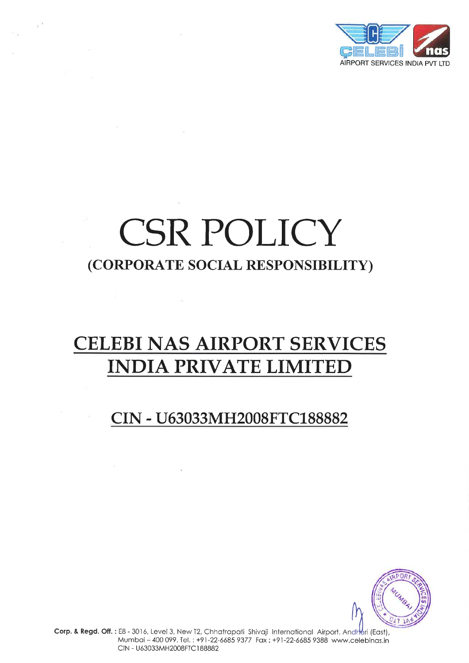

# CSR POLICY (CORPORATE SOCIAL RESPONSIBILITY)

 $e^{\alpha}$ 

## **CELEBI NAS AIRPORT SERVICES INDIA PRIVATE LIMITED**

 $\sim 12$ 

 $\sim$  100  $\sim$ 

## CIN - U63033MH2008FTC188882



Corp. & Regd. Off.: E8 - 3016, Level 3, New T2, Chhatrapati Shivaji International Airport, Andheri (East), Mumbai - 400 099. Tel.: +91-22-6685 9377 Fax: +91-22-6685 9388 www.celebinas.in CIN - U63033MH2008FTC188882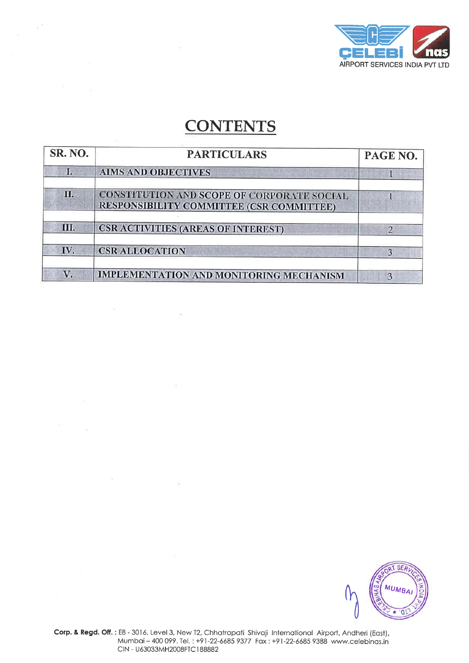

## **CONTENTS**

 $\tilde{\Sigma}^{\tilde{\beta}}$ 

 $\tilde{\mathbf{w}}_i$ 

 $\overline{\mathcal{L}}$ 

 $\sim$ 

 $\tilde{\Sigma}$ 

 $\widetilde{\mathcal{N}}$ 

- 72

| <b>SR. NO.</b> | <b>PARTICULARS</b>                                                                            | PAGE NO.       |
|----------------|-----------------------------------------------------------------------------------------------|----------------|
| 1.             | <b>AIMS AND OBJECTIVES</b>                                                                    |                |
| П.             | CONSTITUTION AND SCOPE OF CORPORATE SOCIAL<br><b>RESPONSIBILITY COMMITTEE (CSR COMMITTEE)</b> |                |
| WГ.            | <b>CSR ACTIVITIES (AREAS OF INTEREST)</b>                                                     | $\overline{2}$ |
| IV.            | <b>CSR ALLOCATION</b>                                                                         | $\overline{3}$ |
| V.             | <b>IMPLEMENTATION AND MONITORING MECHANISM</b>                                                | 3              |

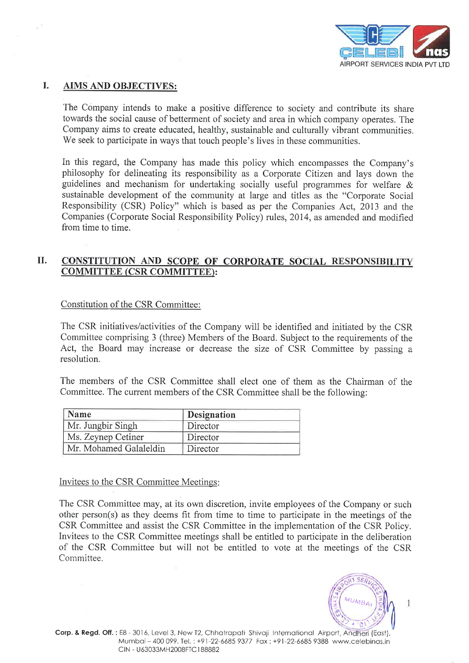

### I. AIMS AND OBJECTIVES:

 $\sim$ 

The Company intends to make a positive difference to society and contribute its share towards the social cause of betterment of society and area in which company operates. The Company aims to create educated, healthy, sustainable and culturally vibrant communities. We seek to participate in ways that touch people's lives in these communities.

In this regard, the Company has made this policy which encompasses the Company's philosophy for delineating its responsibility as a Corporate Citizen and lays down the guidelines and mechanism for undertaking socially useful programmes for welfare & sustainable development of the community at large and titles as the "Corporate Social Responsibility (CSR) Policy" which is based as per the Companies Act, 2013 and the Companies (Corporate Social Responsibility Policy) rules, 2014, as amended and modified from time to time.

#### il. CONSTITUTION AND SCOPE OF CORPORATE SOCIAL RESPONSIBILITY COMMITTEE (CSR COMMITTEE):

Constitution of the CSR Committee:

The CSR initiatives/activities of the Company will be identified and initiated by the CSR Committee comprising 3 (three) Members of the Board. Subject to the requirements of the Act, the Board may increase or decrease the size of CSR Committee by passing <sup>a</sup> resolution.

The members of the CSR Committee shall elect one of them as the Chairman of the Committee. The current members of the CSR Committee shall be the following:

| Name                   | <b>Designation</b> |  |
|------------------------|--------------------|--|
| Mr. Jungbir Singh      | Director           |  |
| Ms. Zeynep Cetiner     | Director           |  |
| Mr. Mohamed Galaleldin | Director           |  |

Invitees to the CSR Committee Meetings

The CSR Committee may, at its own discretion, invite employees of the Company or such other person(s) as they deems fit from time to time to participate in the meetings of the CSR Committee and assist the CSR Committee in the implementation of the CSR Policy. Invitees to the CSR Committee meetings shall be entitled to participate in the deliberation of the CSR Committee but will not be entitled to vote at the meetings of the CSR Committee.

1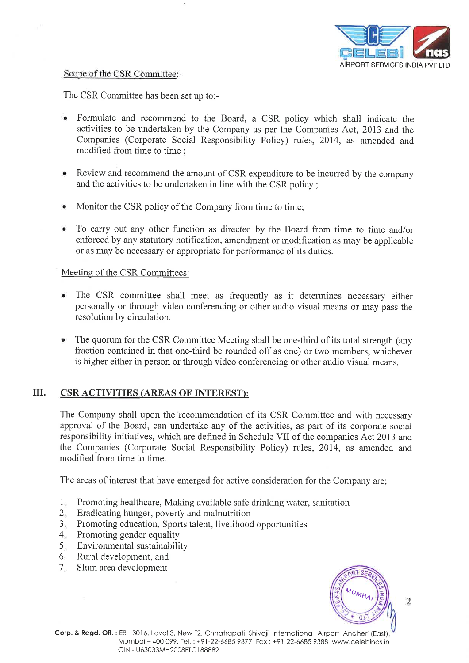

### Scope of the CSR Committee:

The CSR Committee has been set up to:-

- Formulate and recommend to the Board, a CSR policy which shall indicate the activities to be undertaken by the Company as per the Companies Act, 2013 and the Companies (Corporate Social Responsibility Policy) rules, 2014, as amended and modified from time to time ;
- Review and recommend the amount of CSR expenditure to be incurred by the company and the activities to be undertaken in line with the CSR policy;
- Monitor the CSR policy of the Company from time to time;
- To carry out any other function as directed by the Board from time to time and/or enforced by any statutory notification, amendment or modification as may be applicable or as may be necessary or appropriate for performance of its duties.

### Meeting of the CSR Committees:

- The CSR committee shall meet as frequently as it determines necessary either personally or through video conferencing or other audio visual means or may pass the resolution by circulation.
- $\bullet$ The quorum for the CSR Committee Meeting shall be one-third of its total strength (any fraction contained in that one-third be rounded off as one) or two members, whichever is higher either in person or through video conferencing or other audio visual means.

## III. CSR ACTIVITIES (AREAS OF INTEREST):

The Company shall upon the recommendation of its CSR Committee and with necessary approval of the Board, can undertake any of the activities, as part of its corporate social responsibility initiatives, which are defined in Schedule VII of the companies Act 2013 and the Companies (Corporate Social Responsibility Policy) rules, 2014, as amended and modified from time to time.

The areas of interest that have emerged for active consideration for the Company are;

- Promoting healthcare, Making available safe drinking water, sanitation  $1<sub>x</sub>$
- Eradicating hunger, poverty and malnutrition  $2.$
- Promoting education, Sports talent, livelihood opportunities a J
- Promoting gender equality  $4.1$
- Environmental sustainability 5
- Rural development, and 6
- Slum area development 7



 $\overline{2}$